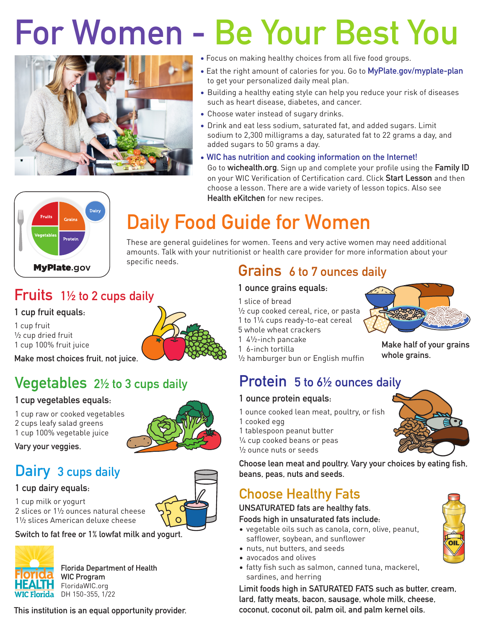# For Women - Be Your Best You



- Focus on making healthy choices from all five food groups.
- Eat the right amount of calories for you. Go to MyPlate.gov/myplate-plan to get your personalized daily meal plan.
- Building a healthy eating style can help you reduce your risk of diseases such as heart disease, diabetes, and cancer.
- Choose water instead of sugary drinks.
- Drink and eat less sodium, saturated fat, and added sugars. Limit sodium to 2,300 milligrams a day, saturated fat to 22 grams a day, and added sugars to 50 grams a day.
- WIC has nutrition and cooking information on the Internet! Go to wichealth.org. Sign up and complete your profile using the Family ID on your WIC Verification of Certification card. Click Start Lesson and then choose a lesson. There are a wide variety of lesson topics. Also see Health eKitchen for new recipes.



## Daily Food Guide for Women

These are general guidelines for women. Teens and very active women may need additional amounts. Talk with your nutritionist or health care provider for more information about your specific needs.

### Fruits 1½ to 2 cups daily

#### 1 cup fruit equals:

1 cup fruit ½ cup dried fruit 1 cup 100% fruit juice

Make most choices fruit, not juice.

### Vegetables 2½ to 3 cups daily

#### 1 cup vegetables equals:

- 1 cup raw or cooked vegetables
- 2 cups leafy salad greens
- 1 cup 100% vegetable juice

Vary your veggies.

### Dairy 3 cups daily

#### 1 cup dairy equals:



Switch to fat free or 1% lowfat milk and yogurt.



Florida Department of Health Florius - The WIC Program **FloridaWIC.org WIC Florida** DH 150-355, 1/22

This institution is an equal opportunity provider.



### Grains 6 to 7 ounces daily

#### 1 ounce grains equals:

- 1 slice of bread
- <sup>1</sup>/<sub>2</sub> cup cooked cereal, rice, or pasta
- 1 to 1¼ cups ready-to-eat cereal 5 whole wheat crackers
- 1 4½-inch pancake
- 1 6-inch tortilla
- ½ hamburger bun or English muffin

Protein 5 to 6½ ounces daily

#### 1 ounce protein equals:

- 1 ounce cooked lean meat, poultry, or fish 1 cooked egg
- 1 tablespoon peanut butter
- ¼ cup cooked beans or peas
- ½ ounce nuts or seeds

Choose lean meat and poultry. Vary your choices by eating fish, beans, peas, nuts and seeds.

### Choose Healthy Fats

#### UNSATURATED fats are healthy fats.

Foods high in unsaturated fats include:

- vegetable oils such as canola, corn, olive, peanut, safflower, soybean, and sunflower
- nuts, nut butters, and seeds
- avocados and olives
- fatty fish such as salmon, canned tuna, mackerel, sardines, and herring

Limit foods high in SATURATED FATS such as butter, cream, lard, fatty meats, bacon, sausage, whole milk, cheese, coconut, coconut oil, palm oil, and palm kernel oils.





Make half of your grains whole grains.